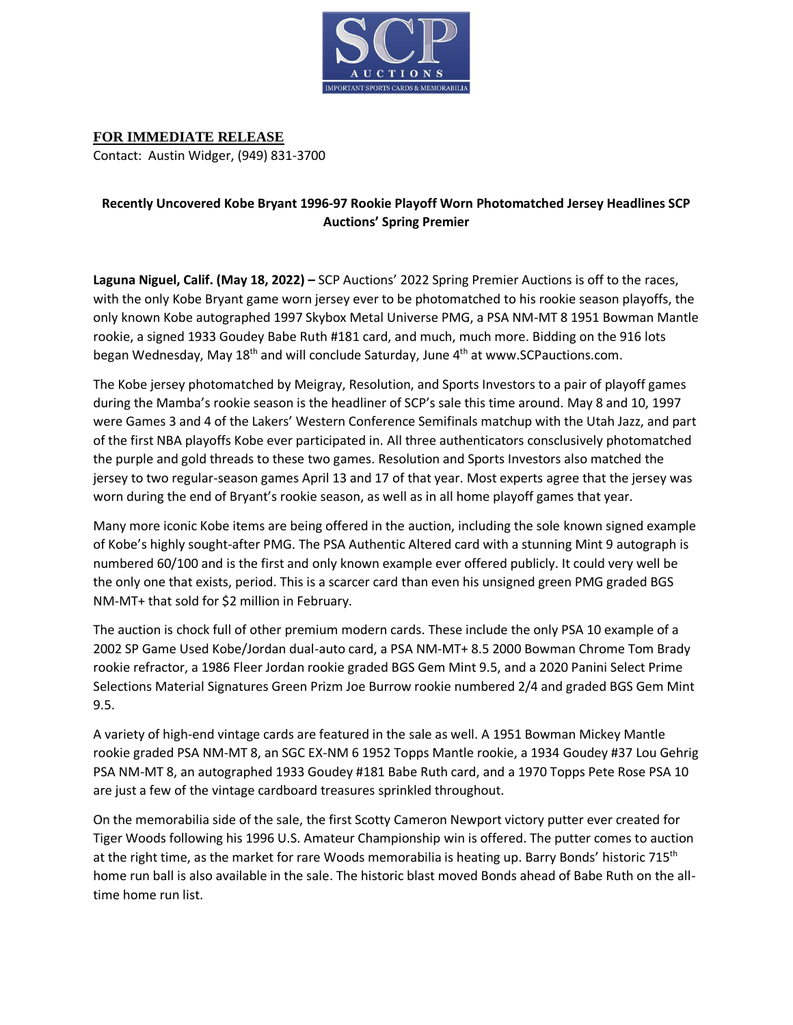

**FOR IMMEDIATE RELEASE** Contact: Austin Widger, (949) 831-3700

## **Recently Uncovered Kobe Bryant 1996-97 Rookie Playoff Worn Photomatched Jersey Headlines SCP Auctions' Spring Premier**

**Laguna Niguel, Calif. (May 18, 2022) –** SCP Auctions' 2022 Spring Premier Auctions is off to the races, with the only Kobe Bryant game worn jersey ever to be photomatched to his rookie season playoffs, the only known Kobe autographed 1997 Skybox Metal Universe PMG, a PSA NM-MT 8 1951 Bowman Mantle rookie, a signed 1933 Goudey Babe Ruth #181 card, and much, much more. Bidding on the 916 lots began Wednesday, May 18<sup>th</sup> and will conclude Saturday, June 4<sup>th</sup> at www.SCPauctions.com.

The Kobe jersey photomatched by Meigray, Resolution, and Sports Investors to a pair of playoff games during the Mamba's rookie season is the headliner of SCP's sale this time around. May 8 and 10, 1997 were Games 3 and 4 of the Lakers' Western Conference Semifinals matchup with the Utah Jazz, and part of the first NBA playoffs Kobe ever participated in. All three authenticators consclusively photomatched the purple and gold threads to these two games. Resolution and Sports Investors also matched the jersey to two regular-season games April 13 and 17 of that year. Most experts agree that the jersey was worn during the end of Bryant's rookie season, as well as in all home playoff games that year.

Many more iconic Kobe items are being offered in the auction, including the sole known signed example of Kobe's highly sought-after PMG. The PSA Authentic Altered card with a stunning Mint 9 autograph is numbered 60/100 and is the first and only known example ever offered publicly. It could very well be the only one that exists, period. This is a scarcer card than even his unsigned green PMG graded BGS NM-MT+ that sold for \$2 million in February.

The auction is chock full of other premium modern cards. These include the only PSA 10 example of a 2002 SP Game Used Kobe/Jordan dual-auto card, a PSA NM-MT+ 8.5 2000 Bowman Chrome Tom Brady rookie refractor, a 1986 Fleer Jordan rookie graded BGS Gem Mint 9.5, and a 2020 Panini Select Prime Selections Material Signatures Green Prizm Joe Burrow rookie numbered 2/4 and graded BGS Gem Mint 9.5.

A variety of high-end vintage cards are featured in the sale as well. A 1951 Bowman Mickey Mantle rookie graded PSA NM-MT 8, an SGC EX-NM 6 1952 Topps Mantle rookie, a 1934 Goudey #37 Lou Gehrig PSA NM-MT 8, an autographed 1933 Goudey #181 Babe Ruth card, and a 1970 Topps Pete Rose PSA 10 are just a few of the vintage cardboard treasures sprinkled throughout.

On the memorabilia side of the sale, the first Scotty Cameron Newport victory putter ever created for Tiger Woods following his 1996 U.S. Amateur Championship win is offered. The putter comes to auction at the right time, as the market for rare Woods memorabilia is heating up. Barry Bonds' historic 715<sup>th</sup> home run ball is also available in the sale. The historic blast moved Bonds ahead of Babe Ruth on the alltime home run list.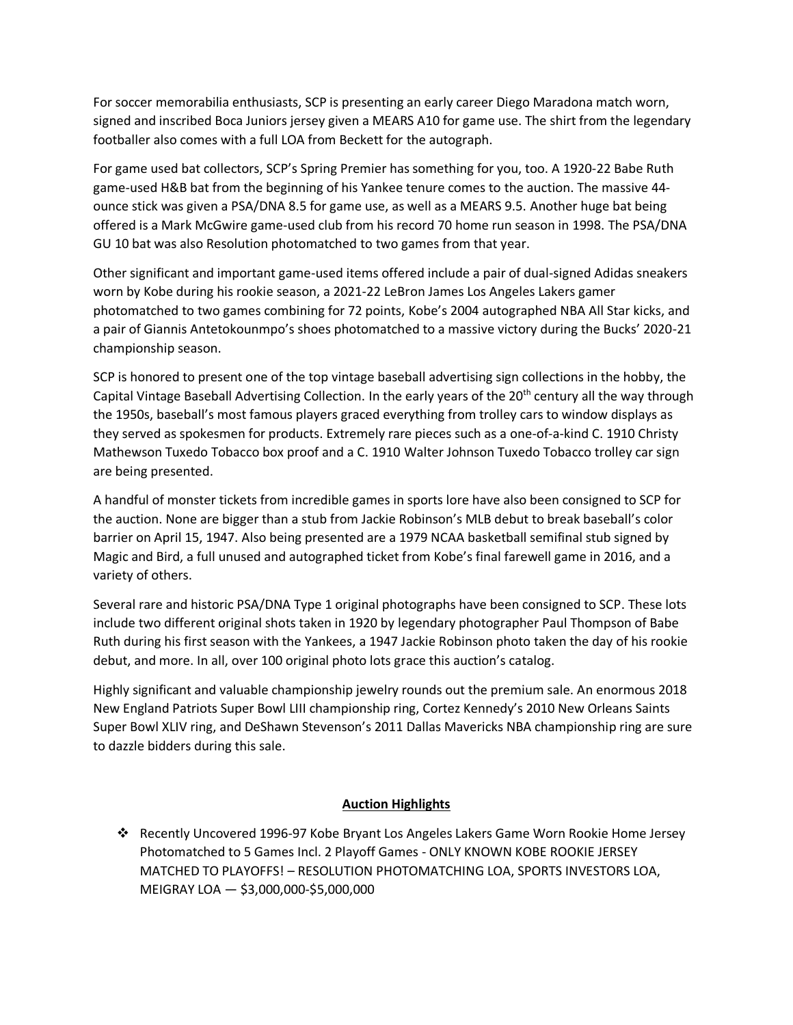For soccer memorabilia enthusiasts, SCP is presenting an early career Diego Maradona match worn, signed and inscribed Boca Juniors jersey given a MEARS A10 for game use. The shirt from the legendary footballer also comes with a full LOA from Beckett for the autograph.

For game used bat collectors, SCP's Spring Premier has something for you, too. A 1920-22 Babe Ruth game-used H&B bat from the beginning of his Yankee tenure comes to the auction. The massive 44 ounce stick was given a PSA/DNA 8.5 for game use, as well as a MEARS 9.5. Another huge bat being offered is a Mark McGwire game-used club from his record 70 home run season in 1998. The PSA/DNA GU 10 bat was also Resolution photomatched to two games from that year.

Other significant and important game-used items offered include a pair of dual-signed Adidas sneakers worn by Kobe during his rookie season, a 2021-22 LeBron James Los Angeles Lakers gamer photomatched to two games combining for 72 points, Kobe's 2004 autographed NBA All Star kicks, and a pair of Giannis Antetokounmpo's shoes photomatched to a massive victory during the Bucks' 2020-21 championship season.

SCP is honored to present one of the top vintage baseball advertising sign collections in the hobby, the Capital Vintage Baseball Advertising Collection. In the early years of the 20<sup>th</sup> century all the way through the 1950s, baseball's most famous players graced everything from trolley cars to window displays as they served as spokesmen for products. Extremely rare pieces such as a one-of-a-kind C. 1910 Christy Mathewson Tuxedo Tobacco box proof and a C. 1910 Walter Johnson Tuxedo Tobacco trolley car sign are being presented.

A handful of monster tickets from incredible games in sports lore have also been consigned to SCP for the auction. None are bigger than a stub from Jackie Robinson's MLB debut to break baseball's color barrier on April 15, 1947. Also being presented are a 1979 NCAA basketball semifinal stub signed by Magic and Bird, a full unused and autographed ticket from Kobe's final farewell game in 2016, and a variety of others.

Several rare and historic PSA/DNA Type 1 original photographs have been consigned to SCP. These lots include two different original shots taken in 1920 by legendary photographer Paul Thompson of Babe Ruth during his first season with the Yankees, a 1947 Jackie Robinson photo taken the day of his rookie debut, and more. In all, over 100 original photo lots grace this auction's catalog.

Highly significant and valuable championship jewelry rounds out the premium sale. An enormous 2018 New England Patriots Super Bowl LIII championship ring, Cortez Kennedy's 2010 New Orleans Saints Super Bowl XLIV ring, and DeShawn Stevenson's 2011 Dallas Mavericks NBA championship ring are sure to dazzle bidders during this sale.

## **Auction Highlights**

❖ Recently Uncovered 1996-97 Kobe Bryant Los Angeles Lakers Game Worn Rookie Home Jersey Photomatched to 5 Games Incl. 2 Playoff Games - ONLY KNOWN KOBE ROOKIE JERSEY MATCHED TO PLAYOFFS! – RESOLUTION PHOTOMATCHING LOA, SPORTS INVESTORS LOA, MEIGRAY LOA — \$3,000,000-\$5,000,000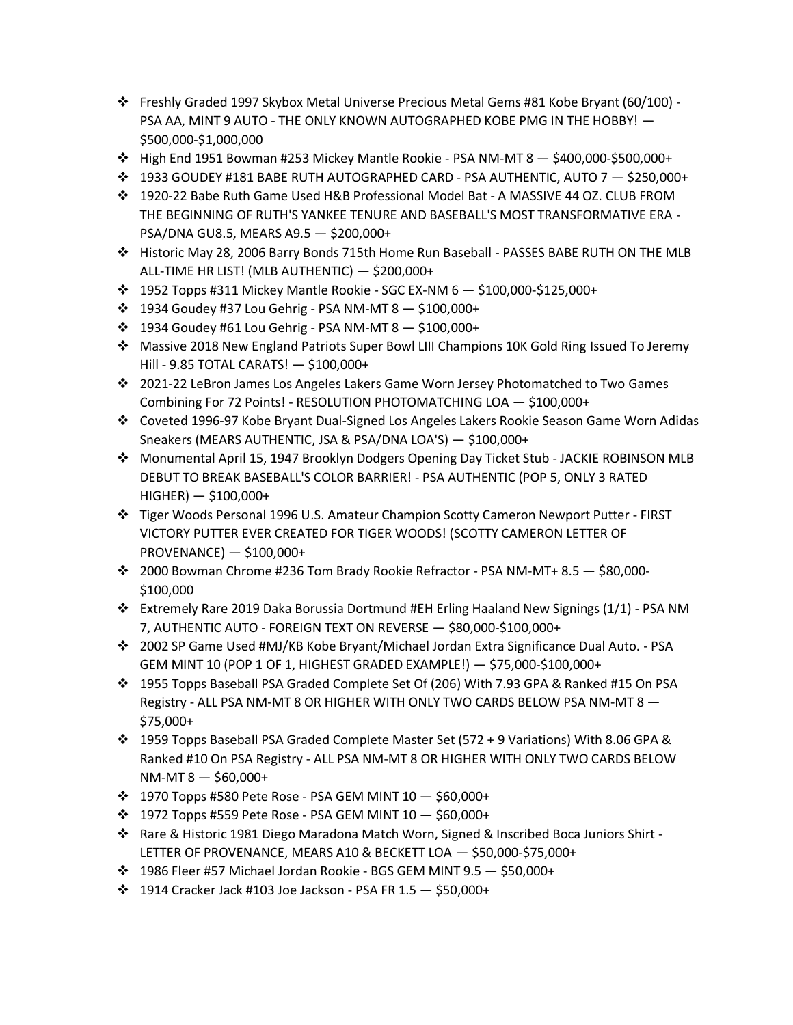- ❖ Freshly Graded 1997 Skybox Metal Universe Precious Metal Gems #81 Kobe Bryant (60/100) PSA AA, MINT 9 AUTO - THE ONLY KNOWN AUTOGRAPHED KOBE PMG IN THE HOBBY! -\$500,000-\$1,000,000
- ❖ High End 1951 Bowman #253 Mickey Mantle Rookie PSA NM-MT 8 \$400,000-\$500,000+
- $\div$  1933 GOUDEY #181 BABE RUTH AUTOGRAPHED CARD PSA AUTHENTIC, AUTO 7 \$250,000+
- ❖ 1920-22 Babe Ruth Game Used H&B Professional Model Bat A MASSIVE 44 OZ. CLUB FROM THE BEGINNING OF RUTH'S YANKEE TENURE AND BASEBALL'S MOST TRANSFORMATIVE ERA - PSA/DNA GU8.5, MEARS A9.5 — \$200,000+
- ❖ Historic May 28, 2006 Barry Bonds 715th Home Run Baseball PASSES BABE RUTH ON THE MLB ALL-TIME HR LIST! (MLB AUTHENTIC) — \$200,000+
- $\dots$  1952 Topps #311 Mickey Mantle Rookie SGC EX-NM 6  $-$  \$100,000-\$125,000+
- ❖ 1934 Goudey #37 Lou Gehrig PSA NM-MT 8 \$100,000+
- ❖ 1934 Goudey #61 Lou Gehrig PSA NM-MT 8 \$100,000+
- ❖ Massive 2018 New England Patriots Super Bowl LIII Champions 10K Gold Ring Issued To Jeremy Hill - 9.85 TOTAL CARATS! — \$100,000+
- ❖ 2021-22 LeBron James Los Angeles Lakers Game Worn Jersey Photomatched to Two Games Combining For 72 Points! - RESOLUTION PHOTOMATCHING LOA — \$100,000+
- ❖ Coveted 1996-97 Kobe Bryant Dual-Signed Los Angeles Lakers Rookie Season Game Worn Adidas Sneakers (MEARS AUTHENTIC, JSA & PSA/DNA LOA'S) — \$100,000+
- ❖ Monumental April 15, 1947 Brooklyn Dodgers Opening Day Ticket Stub JACKIE ROBINSON MLB DEBUT TO BREAK BASEBALL'S COLOR BARRIER! - PSA AUTHENTIC (POP 5, ONLY 3 RATED HIGHER) — \$100,000+
- ❖ Tiger Woods Personal 1996 U.S. Amateur Champion Scotty Cameron Newport Putter FIRST VICTORY PUTTER EVER CREATED FOR TIGER WOODS! (SCOTTY CAMERON LETTER OF PROVENANCE) — \$100,000+
- ❖ 2000 Bowman Chrome #236 Tom Brady Rookie Refractor PSA NM-MT+ 8.5 \$80,000- \$100,000
- ❖ Extremely Rare 2019 Daka Borussia Dortmund #EH Erling Haaland New Signings (1/1) PSA NM 7, AUTHENTIC AUTO - FOREIGN TEXT ON REVERSE — \$80,000-\$100,000+
- ❖ 2002 SP Game Used #MJ/KB Kobe Bryant/Michael Jordan Extra Significance Dual Auto. PSA GEM MINT 10 (POP 1 OF 1, HIGHEST GRADED EXAMPLE!) — \$75,000-\$100,000+
- ❖ 1955 Topps Baseball PSA Graded Complete Set Of (206) With 7.93 GPA & Ranked #15 On PSA Registry - ALL PSA NM-MT 8 OR HIGHER WITH ONLY TWO CARDS BELOW PSA NM-MT 8 — \$75,000+
- ❖ 1959 Topps Baseball PSA Graded Complete Master Set (572 + 9 Variations) With 8.06 GPA & Ranked #10 On PSA Registry - ALL PSA NM-MT 8 OR HIGHER WITH ONLY TWO CARDS BELOW NM-MT 8 — \$60,000+
- ❖ 1970 Topps #580 Pete Rose PSA GEM MINT 10 \$60,000+
- ❖ 1972 Topps #559 Pete Rose PSA GEM MINT 10 \$60,000+
- ❖ Rare & Historic 1981 Diego Maradona Match Worn, Signed & Inscribed Boca Juniors Shirt LETTER OF PROVENANCE, MEARS A10 & BECKETT LOA — \$50,000-\$75,000+
- ❖ 1986 Fleer #57 Michael Jordan Rookie BGS GEM MINT 9.5 \$50,000+
- ❖ 1914 Cracker Jack #103 Joe Jackson PSA FR 1.5 \$50,000+